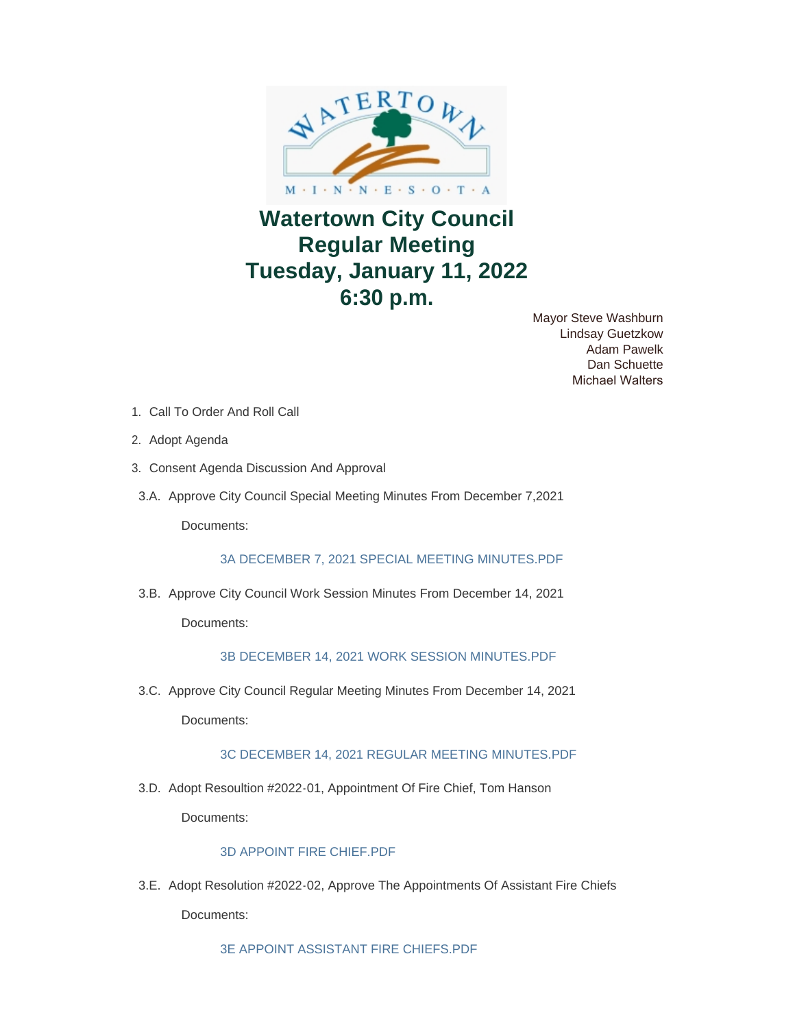

# **Watertown City Council Regular Meeting Tuesday, January 11, 2022 6:30 p.m.**

Mayor Steve Washburn Lindsay Guetzkow Adam Pawelk Dan Schuette Michael Walters

- 1. Call To Order And Roll Call
- 2. Adopt Agenda
- 3. Consent Agenda Discussion And Approval
- 3.A. Approve City Council Special Meeting Minutes From December 7,2021

Documents:

[3A DECEMBER 7, 2021 SPECIAL MEETING MINUTES.PDF](https://www.watertownmn.gov/AgendaCenter/ViewFile/Item/2065?fileID=1706)

3.B. Approve City Council Work Session Minutes From December 14, 2021 Documents:

## [3B DECEMBER 14, 2021 WORK SESSION MINUTES.PDF](https://www.watertownmn.gov/AgendaCenter/ViewFile/Item/2066?fileID=1707)

3.C. Approve City Council Regular Meeting Minutes From December 14, 2021 Documents:

[3C DECEMBER 14, 2021 REGULAR MEETING MINUTES.PDF](https://www.watertownmn.gov/AgendaCenter/ViewFile/Item/2067?fileID=1708)

3.D. Adopt Resoultion #2022-01, Appointment Of Fire Chief, Tom Hanson Documents:

### [3D APPOINT FIRE CHIEF.PDF](https://www.watertownmn.gov/AgendaCenter/ViewFile/Item/2068?fileID=1709)

3.E. Adopt Resolution #2022-02, Approve The Appointments Of Assistant Fire Chiefs Documents:

[3E APPOINT ASSISTANT FIRE CHIEFS.PDF](https://www.watertownmn.gov/AgendaCenter/ViewFile/Item/2069?fileID=1710)